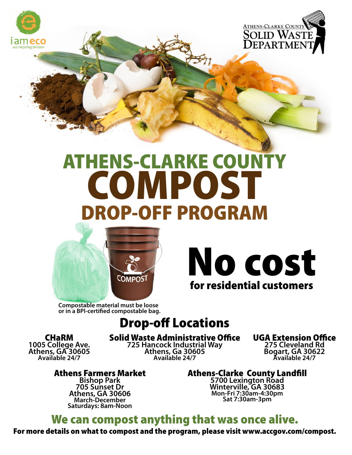



## ATHENS-CLARKE COUNTY **COMPOST** DROP-OFF PROGRAM



No cost for residential customers

**Compostable material must be loose or in a BPI-certified compostable bag.** 

## Drop-off Locations

CHaRM **1005 College Ave. Athens, GA 30605 Available 24/7** 

**Solid Waste Administrative Office**<br>725 Hancock Industrial Way

**725 Hancock Industrial Way Athens, Ga 30605 Available 24/7** 

UGA Extension Office **275 Cleveland Rd** 

**Bogart, GA 30622 Available 24/7** 

Athens Farmers Market

**Bishop Park 705 Sunset Dr Athens, GA 30606 March-December Saturdays: 8am-Noon**  Athens-Clarke County Landfill **5700 Lexington Road** 

**Winterville, GA 30683 Mon-Fri 7:30am-4:30pm Sat 7:30am-3pm** 

## We can compost anything that was once alive.

For more details on what to compost and the program, please visit www.accgov.com/compost.